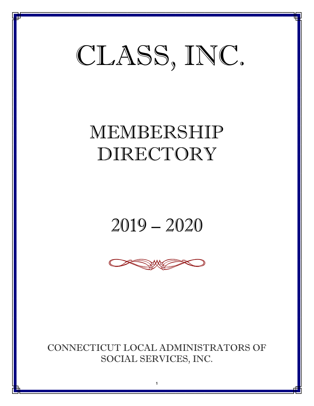## CLASS, INC.

## MEMBERSHIP DIRECTORY

## 2019 – 2020



CONNECTICUT LOCAL ADMINISTRATORS OF SOCIAL SERVICES, INC.

1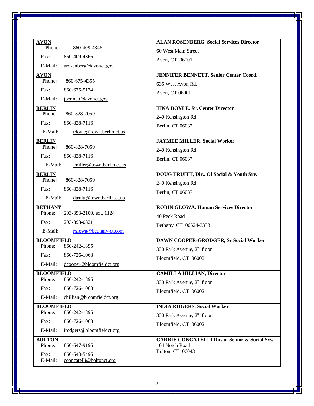| <b>AVON</b>                                                 | <b>ALAN ROSENBERG, Social Services Director</b>                             |
|-------------------------------------------------------------|-----------------------------------------------------------------------------|
| Phone:<br>860-409-4346                                      | 60 West Main Street                                                         |
| Fax:<br>860-409-4366                                        | Avon, CT 06001                                                              |
| E-Mail:<br>arosenberg@avonct.gov                            |                                                                             |
| <b>AVON</b>                                                 | <b>JENNIFER BENNETT, Senior Center Coord.</b>                               |
| Phone:<br>860-675-4355                                      | 635 West Avon Rd.                                                           |
| Fax:<br>860-675-5174                                        | Avon, CT 06001                                                              |
| E-Mail:<br>jbennett@avonct.gov                              |                                                                             |
| <b>BERLIN</b>                                               | <b>TINA DOYLE, Sr. Center Director</b>                                      |
| Phone:<br>860-828-7059                                      | 240 Kensington Rd.                                                          |
| 860-828-7116<br>Fax:                                        | Berlin, CT 06037                                                            |
| E-Mail:<br>tdoyle@town.berlin.ct.us                         |                                                                             |
| <b>BERLIN</b>                                               | <b>JAYMEE MILLER, Social Worker</b>                                         |
| 860-828-7059<br>Phone:                                      | 240 Kensington Rd.                                                          |
| Fax:<br>860-828-7116                                        | Berlin, CT 06037                                                            |
| E-Mail:<br>jmiller@town.berlin.ct.us                        |                                                                             |
| <b>BERLIN</b>                                               | DOUG TRUITT, Dir,. Of Social & Youth Srv.                                   |
| Phone:<br>860-828-7059                                      | 240 Kensington Rd.                                                          |
| Fax:<br>860-828-7116                                        | Berlin, CT 06037                                                            |
| E-Mail:<br>dtruitt@town.berlin.ct.us                        |                                                                             |
| <b>BETHANY</b>                                              | <b>ROBIN GLOWA, Human Services Director</b>                                 |
| Phone:<br>203-393-2100, ext. 1124                           | 40 Peck Road                                                                |
| 203-393-0821<br>Fax:                                        | Bethany, CT 06524-3338                                                      |
| E-Mail:<br>rglowa@bethany-ct.com                            |                                                                             |
| <b>BLOOMFIELD</b>                                           | <b>DAWN COOPER-GRODGER, Sr Social Worker</b>                                |
| 860-242-1895<br>Phone:                                      | 330 Park Avenue, 2 <sup>nd</sup> floor                                      |
| 860-726-1068<br>Fax:                                        | Bloomfield, CT 06002                                                        |
| E-Mail: dcooper@bloomfieldct.org                            |                                                                             |
| <b>BLOOMFIELD</b>                                           | <b>CAMILLA HILLIAN, Director</b>                                            |
| 860-242-1895<br>Phone:                                      | 330 Park Avenue, $2nd$ floor                                                |
| Fax:<br>860-726-1068                                        | Bloomfield, CT 06002                                                        |
| E-Mail:<br>chillian@bloomfieldct.org                        |                                                                             |
| <b>BLOOMFIELD</b><br>Phone:<br>860-242-1895                 | <b>INDIA ROGERS, Social Worker</b>                                          |
|                                                             | 330 Park Avenue, 2 <sup>nd</sup> floor                                      |
| Fax:<br>860-726-1068                                        | Bloomfield, CT 06002                                                        |
| irodgers@bloomfieldct.org<br>E-Mail:                        |                                                                             |
| <b>BOLTON</b><br>Phone:<br>860-647-9196                     | <b>CARRIE CONCATELLI Dir. of Senior &amp; Social Svs.</b><br>104 Notch Road |
|                                                             | Bolton, CT 06043                                                            |
| Fax:<br>860-643-5496<br>cconcatelli@boltonct.org<br>E-Mail: |                                                                             |
|                                                             |                                                                             |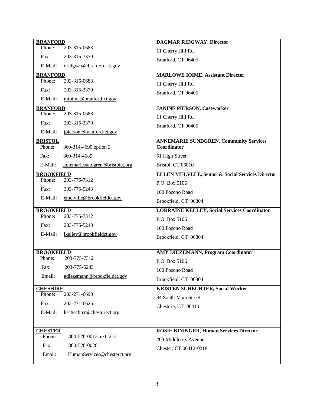| <b>BRANFORD</b>           |                                 | <b>DAGMAR RIDGWAY, Director</b>                              |
|---------------------------|---------------------------------|--------------------------------------------------------------|
| Phone:                    | 203-315-0683                    | 11 Cherry Hill Rd.                                           |
| Fax:                      | 203-315-3370                    | Branford, CT 06405                                           |
| E-Mail:                   | dridgway@branford-ct.gov        |                                                              |
| <b>BRANFORD</b>           |                                 | <b>MARLOWE IOIME, Assistant Director</b>                     |
| Phone:                    | 203-315-0683                    | 11 Cherry Hill Rd.                                           |
| Fax:                      | 203-315-3370                    | Branford, CT 06405                                           |
| E-Mail:                   | mioime@branford-ct.gov          |                                                              |
| <b>BRANFORD</b><br>Phone: | 203-315-0683                    | <b>JANINE PIERSON, Caseworker</b>                            |
| Fax:                      | 203-315-3370                    | 11 Cherry Hill Rd.                                           |
|                           |                                 | Branford, CT 06405                                           |
| E-Mail:                   | jpierson@branford-ct.gov        |                                                              |
| <b>BRISTOL</b><br>Phone:  | 860-314-4690 option 3           | <b>ANNEMARIE SUNDGREN, Community Services</b><br>Coordinator |
| Fax:                      | 860-314-4689                    | 51 High Street.                                              |
| E-Mail:                   | annemariesundgren@bristolct.org | Bristol, CT 06010                                            |
| <b>BROOKFIELD</b>         |                                 | <b>ELLEN MELVLLE, Senior &amp; Social Services Director</b>  |
| Phone:                    | 203-775-7312                    | P.O. Box 5106                                                |
| Fax:                      | 203-775-5243                    | 100 Pocono Road                                              |
| E-Mail:                   | emelville@brookfieldct.gov      | Brookfield, CT 06804                                         |
| <b>BROOKFIELD</b>         |                                 | <b>LORRAINE KELLEY, Social Services Coordinator</b>          |
| Phone:                    | 203-775-7312                    | P.O. Box 5106                                                |
| Fax:                      | 203-775-5243                    | 100 Pocono Road                                              |
| E-Mail:                   | lkelley@brookfieldct.gov        | Brookfield, CT 06804                                         |
|                           |                                 |                                                              |
| <b>BROOKFIELD</b>         |                                 | <b>AMY DIEZEMANN, Program Coordinator</b>                    |
| Phone:                    | 203-775-7312                    | P.O. Box 5106                                                |
| Fax:                      | 203-775-5243                    | 100 Pocono Road                                              |
| Email:                    | adiezemann@brookfieldct.gov     | Brookfield, CT 06804                                         |
| <b>CHESHIRE</b>           |                                 | <b>KRISTEN SCHECHTER, Social Worker</b>                      |
| Phone:                    | 203-271-6690                    | 84 South Main Street                                         |
| Fax:                      | 203-271-6626                    | Cheshire, CT 06410                                           |
| E-Mail:                   | kschechter@cheshirect.org       |                                                              |
|                           |                                 |                                                              |
| <b>CHESTER</b>            |                                 | <b>ROSIE BININGER, Human Services Director</b>               |
| Phone:                    | 860-526-0013, ext. 213          | 203 Middlesex Avenue                                         |
| Fax:                      | 860-526-0028                    | Chester, CT 06412-0218                                       |
| Email:                    | HumanServices@chesterct.org     |                                                              |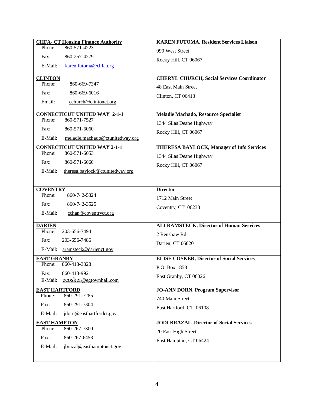| <b>CHFA- CT Housing Finance Authority</b>  | <b>KAREN FUTOMA, Resident Services Liaison</b>    |
|--------------------------------------------|---------------------------------------------------|
| Phone:<br>860-571-4223                     | 999 West Street                                   |
| Fax:<br>860-257-4279                       | Rocky Hill, CT 06067                              |
| E-Mail:<br>karen.futoma@chfa.org           |                                                   |
|                                            |                                                   |
| <b>CLINTON</b><br>Phone:<br>860-669-7347   | <b>CHERYL CHURCH, Social Services Coordinator</b> |
|                                            | 48 East Main Street                               |
| Fax:<br>860-669-6016                       | Clinton, CT 06413                                 |
| Email:<br>cchurch@clintonct.org            |                                                   |
| <b>CONNECTICUT UNITED WAY 2-1-1</b>        | Meladie Machado, Resource Specialist              |
| 860-571-7527<br>Phone:                     | 1344 Silas Deane Highway                          |
| 860-571-6060<br>Fax:                       | Rocky Hill, CT 06067                              |
| E-Mail:<br>meladie.machado@ctunitedway.org |                                                   |
| <b>CONNECTICUT UNITED WAY 2-1-1</b>        | <b>THERESA BAYLOCK, Manager of Info Services</b>  |
| 860-571-6053<br>Phone:                     | 1344 Silas Deane Highway                          |
| 860-571-6060<br>Fax:                       | Rocky Hill, CT 06067                              |
| E-Mail:<br>theresa.baylock@ctunitedway.org |                                                   |
|                                            |                                                   |
| <b>COVENTRY</b>                            | <b>Director</b>                                   |
| Phone:<br>860-742-5324                     | 1712 Main Street                                  |
| 860-742-3525<br>Fax:                       | Coventry, CT 06238                                |
| E-Mail:<br>cchan@coventryct.org            |                                                   |
|                                            |                                                   |
| <b>DARIEN</b>                              | <b>ALI RAMSTECK, Director of Human Services</b>   |
| Phone:<br>203-656-7494                     | 2 Renshaw Rd                                      |
| 203-656-7486<br>Fax:                       | Darien, CT 06820                                  |
| E-Mail:<br>aramsteck@darienct.gov          |                                                   |
| <b>EAST GRANBY</b>                         | <b>ELISE COSKER, Director of Social Services</b>  |
| 860-413-3328<br>Phone:                     | P.O. Box 1858                                     |
| 860-413-9921<br>Fax:                       | East Granby, CT 06026                             |
| ecosker@egtownhall.com<br>E-Mail:          |                                                   |
| <b>EAST HARTFORD</b>                       | <b>JO-ANN DORN, Program Supervisor</b>            |
| 860-291-7285<br>Phone:                     | 740 Main Street                                   |
| Fax:<br>860-291-7304                       | East Hartford, CT 06108                           |
| E-Mail:<br>jdorn@easthartfordct.gov        |                                                   |
| <b>EAST HAMPTON</b>                        | <b>JODI BRAZAL, Director of Social Services</b>   |
| 860-267-7300<br>Phone:                     | 20 East High Street                               |
| 860-267-6453<br>Fax:                       | East Hampton, CT 06424                            |
| E-Mail:<br>jbrazal@easthamptonct.gov       |                                                   |
|                                            |                                                   |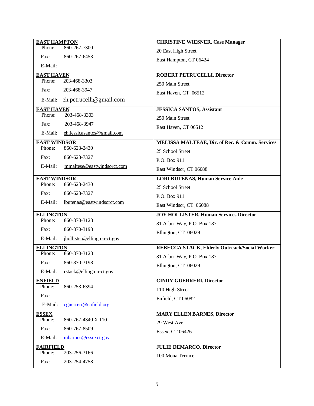| <b>EAST HAMPTON</b>           |                              | <b>CHRISTINE WIESNER, Case Manager</b>         |
|-------------------------------|------------------------------|------------------------------------------------|
| Phone:                        | 860-267-7300                 | 20 East High Street                            |
| Fax:                          | 860-267-6453                 | East Hampton, CT 06424                         |
| E-Mail:                       |                              |                                                |
| <b>EAST HAVEN</b>             |                              | <b>ROBERT PETRUCELLI, Director</b>             |
| Phone:                        | 203-468-3303                 | 250 Main Street                                |
| Fax:                          | 203-468-3947                 | East Haven, CT 06512                           |
| E-Mail:                       | $eh.$ petrucelli@gmail.com   |                                                |
| <b>EAST HAVEN</b>             |                              | <b>JESSICA SANTOS, Assistant</b>               |
| Phone:                        | 203-468-3303                 | 250 Main Street                                |
| Fax:                          | 203-468-3947                 | East Haven, CT 06512                           |
| E-Mail:                       | eh.jessicasantos@gmail.com   |                                                |
| <b>EAST WINDSOR</b><br>Phone: |                              | MELISSA MALTEAE, Dir. of Rec. & Comm. Services |
|                               | 860-623-2430                 | 25 School Street                               |
| Fax:                          | 860-623-7327                 | P.O. Box 911                                   |
| E-Mail:                       | mmaltese@eastwindsorct.com   | East Windsor, CT 06088                         |
| <b>EAST WINDSOR</b>           |                              | <b>LORI BUTENAS, Human Service Aide</b>        |
| Phone:                        | 860-623-2430                 | 25 School Street                               |
| Fax:                          | 860-623-7327                 | P.O. Box 911                                   |
| E-Mail:                       | lbutenas@eastwindsorct.com   |                                                |
|                               |                              | East Windsor, CT 06088                         |
|                               |                              |                                                |
| <b>ELLINGTON</b><br>Phone:    | 860-870-3128                 | <b>JOY HOLLISTER, Human Services Director</b>  |
| Fax:                          | 860-870-3198                 | 31 Arbor Way, P.O. Box 187                     |
| E-Mail:                       | ihollister@ellington-ct.gov  | Ellington, CT 06029                            |
|                               |                              |                                                |
| <b>ELLINGTON</b><br>Phone:    | 860-870-3128                 | REBECCA STACK, Elderly Outreach/Social Worker  |
| Fax:                          | 860-870-3198                 | 31 Arbor Way, P.O. Box 187                     |
| E-Mail:                       | rstack@ellington-ct.gov      | Ellington, CT 06029                            |
| <b>ENFIELD</b>                |                              | <b>CINDY GUERRERI, Director</b>                |
| Phone:                        | 860-253-6394                 | 110 High Street                                |
| Fax:                          |                              | Enfield, CT 06082                              |
| E-Mail:                       | cguerreri@enfield.org        |                                                |
| <b>ESSEX</b>                  |                              | <b>MARY ELLEN BARNES, Director</b>             |
| Phone:                        | 860-767-4340 X 110           | 29 West Ave                                    |
| Fax:                          | 860-767-8509                 | Essex, CT 06426                                |
| E-Mail:                       | mbarnes@essexct.gov          |                                                |
| <b>FAIRFIELD</b>              |                              | <b>JULIE DEMARCO, Director</b>                 |
| Phone:<br>Fax:                | 203-256-3166<br>203-254-4758 | 100 Mona Terrace                               |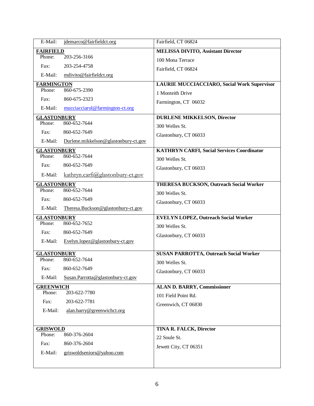| E-Mail:            | jdemarco@fairfieldct.org             | Fairfield, CT 06824                                |
|--------------------|--------------------------------------|----------------------------------------------------|
| <b>FAIRFIELD</b>   |                                      | <b>MELISSA DIVITO, Assistant Director</b>          |
| Phone:             | 203-256-3166                         | 100 Mona Terrace                                   |
| Fax:               | 203-254-4758                         | Fairfield, CT 06824                                |
| E-Mail:            | mdivito@fairfieldct.org              |                                                    |
| <b>FARMINGTON</b>  |                                      | <b>LAURIE MUCCIACCIARO, Social Work Supervisor</b> |
| Phone:             | 860-675-2390                         | 1 Monteith Drive                                   |
| Fax:               | 860-675-2323                         | Farmington, CT 06032                               |
| E-Mail:            | mucciacciarol@farmington-ct.org      |                                                    |
| <b>GLASTONBURY</b> |                                      | <b>DURLENE MIKKELSON, Director</b>                 |
| Phone:             | 860-652-7644                         | 300 Welles St.                                     |
| Fax:               | 860-652-7649                         | Glastonbury, CT 06033                              |
| E-Mail:            | Durlene.mikkelson@glastonbury-ct.gov |                                                    |
| <b>GLASTONBURY</b> |                                      | <b>KATHRYN CARFI, Social Services Coordinator</b>  |
| Phone:             | 860-652-7644                         | 300 Welles St.                                     |
| Fax:               | 860-652-7649                         | Glastonbury, CT 06033                              |
| E-Mail:            | $kathryn.carfi@glastonbury-ct.gov$   |                                                    |
| <b>GLASTONBURY</b> |                                      | <b>THERESA BUCKSON, Outreach Social Worker</b>     |
| Phone:             | 860-652-7644                         | 300 Welles St.                                     |
| Fax:               | 860-652-7649                         | Glastonbury, CT 06033                              |
| E-Mail:            | Theresa.Buckson@glastonbury-ct.gov   |                                                    |
| <b>GLASTONBURY</b> |                                      | <b>EVELYN LOPEZ, Outreach Social Worker</b>        |
| Phone:             | 860-652-7652                         | 300 Welles St.                                     |
| Fax:               | 860-652-7649                         | Glastonbury, CT 06033                              |
| E-Mail:            | Evelyn.lopez@glastonbury-ct.gov      |                                                    |
| <b>GLASTONBURY</b> |                                      | <b>SUSAN PARROTTA, Outreach Social Worker</b>      |
| Phone:             | 860-652-7644                         | 300 Welles St.                                     |
|                    | Fax: 860-652-7649                    | Glastonbury, CT 06033                              |
| E-Mail:            | Susan.Parrotta@glastonbury-ct.gov    |                                                    |
| <b>GREENWICH</b>   |                                      | <b>ALAN D. BARRY, Commissioner</b>                 |
| Phone:             | 203-622-7780                         | 101 Field Point Rd.                                |
| Fax:               | 203-622-7781                         | Greenwich, CT 06830                                |
| E-Mail:            | alan.barry@greenwichct.org           |                                                    |
|                    |                                      |                                                    |
| <b>GRISWOLD</b>    |                                      | TINA R. FALCK, Director                            |
| Phone:             | 860-376-2604                         | 22 Soule St.                                       |
| Fax:               | 860-376-2604                         | Jewett City, CT 06351                              |
| E-Mail:            | griswoldseniors@yahoo.com            |                                                    |
|                    |                                      |                                                    |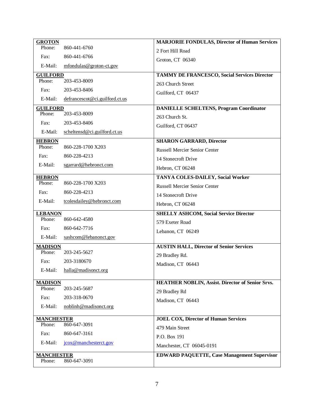| <b>GROTON</b>           |                                | <b>MARJORIE FONDULAS, Director of Human Services</b>    |
|-------------------------|--------------------------------|---------------------------------------------------------|
| Phone:                  | 860-441-6760                   | 2 Fort Hill Road                                        |
| Fax:                    | 860-441-6766                   | Groton, CT 06340                                        |
| E-Mail:                 | mfondulas@groton-ct.gov        |                                                         |
| <b>GUILFORD</b>         |                                | <b>TAMMY DE FRANCESCO, Social Services Director</b>     |
| Phone:                  | 203-453-8009                   | 263 Church Street                                       |
| Fax:                    | 203-453-8406                   | Guilford, CT 06437                                      |
| E-Mail:                 | defrancescot@ci.guilford.ct.us |                                                         |
| <b>GUILFORD</b>         |                                | <b>DANIELLE SCHELTENS, Program Coordinator</b>          |
| Phone:                  | 203-453-8009                   | 263 Church St.                                          |
| Fax:                    | 203-453-8406                   | Guilford, CT 06437                                      |
| E-Mail:                 | scheltensd@ci.guilford.ct.us   |                                                         |
| <b>HEBRON</b><br>Phone: | 860-228-1700 X203              | <b>SHARON GARRARD, Director</b>                         |
|                         |                                | <b>Russell Mercier Senior Center</b>                    |
| Fax:                    | 860-228-4213                   | 14 Stonecroft Drive                                     |
| E-Mail:                 | sgarrard@hebronct.com          | Hebron, CT 06248                                        |
| <b>HEBRON</b>           |                                | <b>TANYA COLES-DAILEY, Social Worker</b>                |
| Phone:                  | 860-228-1700 X203              | <b>Russell Mercier Senior Center</b>                    |
| Fax:                    | 860-228-4213                   | 14 Stonecroft Drive                                     |
| E-Mail:                 | tcolesdailey@hebronct.com      | Hebron, CT 06248                                        |
| <b>LEBANON</b>          |                                | <b>SHELLY ASHCOM, Social Service Director</b>           |
| Phone:                  | 860-642-4580                   | 579 Exeter Road                                         |
| Fax:                    | 860-642-7716                   | Lebanon, CT 06249                                       |
| E-Mail:                 | sashcom@lebanonct.gov          |                                                         |
| <b>MADISON</b>          |                                | <b>AUSTIN HALL, Director of Senior Services</b>         |
| Phone:                  | 203-245-5627                   | 29 Bradley Rd.                                          |
| Fax:                    | 203-3180670                    | Madison, CT 06443                                       |
| E-Mail:                 | halla@madisonct.org            |                                                         |
| <b>MADISON</b>          |                                | <b>HEATHER NOBLIN, Assist. Director of Senior Srvs.</b> |
| Phone:                  | 203-245-5687                   | 29 Bradley Rd                                           |
| Fax:                    | 203-318-0670                   | Madison, CT 06443                                       |
| E-Mail:                 | noblinh@madisonct.org          |                                                         |
| <b>MANCHESTER</b>       |                                | <b>JOEL COX, Director of Human Services</b>             |
| Phone:                  | 860-647-3091                   | 479 Main Street                                         |
| Fax:                    | 860-647-3161                   | P.O. Box 191                                            |
| E-Mail:                 | jcox@manchesterct.gov          | Manchester, CT 06045-0191                               |
| <b>MANCHESTER</b>       |                                | <b>EDWARD PAQUETTE, Case Management Supervisor</b>      |
| Phone:                  | 860-647-3091                   |                                                         |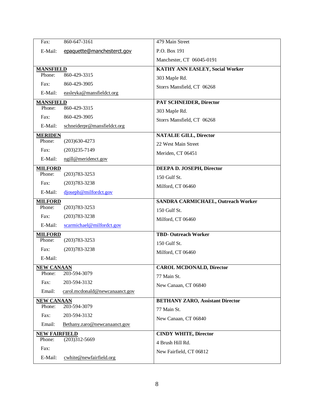| Fax:                 | 860-647-3161                   | 479 Main Street                           |
|----------------------|--------------------------------|-------------------------------------------|
| E-Mail:              | epaquette@manchesterct.gov     | P.O. Box 191                              |
|                      |                                | Manchester, CT 06045-0191                 |
| <b>MANSFIELD</b>     |                                | <b>KATHY ANN EASLEY, Social Worker</b>    |
| Phone:               | 860-429-3315                   |                                           |
| Fax:                 | 860-429-3905                   | 303 Maple Rd.                             |
| E-Mail:              | easleyka@mansfieldct.org       | Storrs Mansfield, CT 06268                |
| <b>MANSFIELD</b>     |                                | PAT SCHNEIDER, Director                   |
| Phone:               | 860-429-3315                   | 303 Maple Rd.                             |
| Fax:                 | 860-429-3905                   | Storrs Mansfield, CT 06268                |
| E-Mail:              | schneiderpr@mansfieldct.org    |                                           |
| <b>MERIDEN</b>       |                                | <b>NATALIE GILL, Director</b>             |
| Phone:               | $(203)630-4273$                | 22 West Main Street                       |
| Fax:                 | $(203)235 - 7149$              | Meriden, CT 06451                         |
| E-Mail:              | ngill@meridenct.gov            |                                           |
| <b>MILFORD</b>       |                                | DEEPA D. JOSEPH, Director                 |
| Phone:               | $(203)783 - 3253$              | 150 Gulf St.                              |
| Fax:                 | $(203)783 - 3238$              | Milford, CT 06460                         |
| E-Mail:              | djoseph@milfordct.gov          |                                           |
| <b>MILFORD</b>       |                                | <b>SANDRA CARMICHAEL, Outreach Worker</b> |
| Phone:               | $(203)783 - 3253$              | 150 Gulf St.                              |
| Fax:                 | $(203)783 - 3238$              | Milford, CT 06460                         |
| E-Mail:              | scarmichael@milfordct.gov      |                                           |
| <b>MILFORD</b>       |                                | <b>TBD-Outreach Worker</b>                |
| Phone:               | $(203)783 - 3253$              | 150 Gulf St.                              |
| Fax:                 | $(203)783 - 3238$              | Milford, CT 06460                         |
| E-Mail:              |                                |                                           |
| <b>NEW CANAAN</b>    |                                | <b>CAROL MCDONALD, Director</b>           |
| Phone:               | 203-594-3079                   | 77 Main St.                               |
| Fax:                 | 203-594-3132                   | New Canaan, CT 06840                      |
| Email:               | carol.mcdonald@newcanaanct.gov |                                           |
| <b>NEW CANAAN</b>    |                                | <b>BETHANY ZARO, Assistant Director</b>   |
| Phone:               | 203-594-3079                   | 77 Main St.                               |
| Fax:                 | 203-594-3132                   | New Canaan, CT 06840                      |
| Email:               | Bethany.zaro@newcanaanct.gov   |                                           |
| <b>NEW FAIRFIELD</b> |                                | <b>CINDY WHITE, Director</b>              |
| Phone:               | $(203)312 - 5669$              | 4 Brush Hill Rd.                          |
| Fax:                 |                                | New Fairfield, CT 06812                   |
| E-Mail:              | cwhite@newfairfield.org        |                                           |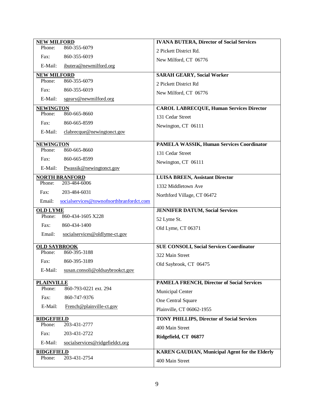| <b>NEW MILFORD</b>                                   | <b>IVANA BUTERA, Director of Social Services</b>                         |
|------------------------------------------------------|--------------------------------------------------------------------------|
| 860-355-6079<br>Phone:                               | 2 Pickett District Rd.                                                   |
| Fax:<br>860-355-6019                                 | New Milford, CT 06776                                                    |
| ibutera@newmilford.org<br>E-Mail:                    |                                                                          |
| <b>NEW MILFORD</b>                                   | <b>SARAH GEARY, Social Worker</b>                                        |
| 860-355-6079<br>Phone:                               | 2 Pickett District Rd                                                    |
| 860-355-6019<br>Fax:                                 | New Milford, CT 06776                                                    |
| E-Mail:<br>sgeary@newmilford.org                     |                                                                          |
| <b>NEWINGTON</b>                                     | <b>CAROL LABRECQUE, Human Services Director</b>                          |
| 860-665-8660<br>Phone:                               | 131 Cedar Street                                                         |
| Fax:<br>860-665-8599                                 | Newington, CT 06111                                                      |
| E-Mail:<br>clabrecque@newingtonct.gov                |                                                                          |
| <b>NEWINGTON</b>                                     | <b>PAMELA WASSIK, Human Services Coordinator</b>                         |
| 860-665-8660<br>Phone:                               | 131 Cedar Street                                                         |
| Fax:<br>860-665-8599                                 | Newington, CT 06111                                                      |
| E-Mail:<br>Pwassik@newingtonct.gov                   |                                                                          |
| <b>NORTH BRANFORD</b>                                | <b>LUISA BREEN, Assistant Director</b>                                   |
| Phone:<br>203-484-6006                               | 1332 Middletown Ave                                                      |
| 203-484-6031<br>Fax:                                 | Northford Village, CT 06472                                              |
| socialservices@townofnorthbranfordct.com<br>Email:   |                                                                          |
|                                                      |                                                                          |
| <b>OLD LYME</b>                                      | <b>JENNIFER DATUM, Social Services</b>                                   |
| Phone:<br>860-434-1605 X228                          | 52 Lyme St.                                                              |
| Fax:<br>860-434-1400                                 | Old Lyme, CT 06371                                                       |
| Email:<br>socialservices@oldlyme-ct.gov              |                                                                          |
| <b>OLD SAYBROOK</b>                                  | <b>SUE CONSOLI, Social Services Coordinator</b>                          |
| 860-395-3188<br>Phone:                               | 322 Main Street                                                          |
| Fax:<br>860-395-3189                                 |                                                                          |
| E-Mail:<br>susan.consoli@oldsaybrookct.gov           | Old Saybrook, CT 06475                                                   |
|                                                      |                                                                          |
| <b>PLAINVILLE</b><br>860-793-0221 ext. 294<br>Phone: | <b>PAMELA FRENCH, Director of Social Services</b>                        |
| Fax:<br>860-747-9376                                 | Municipal Center                                                         |
| E-Mail:                                              | One Central Square                                                       |
| French@plainville-ct.gov                             | Plainville, CT 06062-1955                                                |
| <b>RIDGEFIELD</b>                                    | <b>TONY PHILLIPS, Director of Social Services</b>                        |
| Phone:<br>203-431-2777                               | 400 Main Street                                                          |
| 203-431-2722<br>Fax:                                 | Ridgefield, CT 06877                                                     |
| E-Mail:<br>socialservices@ridgefieldct.org           |                                                                          |
| <b>RIDGEFIELD</b><br>203-431-2754<br>Phone:          | <b>KAREN GAUDIAN, Municipal Agent for the Elderly</b><br>400 Main Street |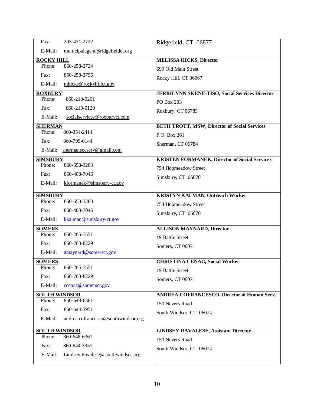| Fax:                           | 203-431-2722                        | Ridgefield, CT 06877                                  |
|--------------------------------|-------------------------------------|-------------------------------------------------------|
| E-Mail:                        | municipalagent@ridgefieldct.org     |                                                       |
| <b>ROCKY HILL</b>              |                                     | <b>MELISSA HICKS, Director</b>                        |
| Phone:                         | 860-258-2724                        | 699 Old Main Street                                   |
| Fax:                           | 860-258-2796                        | Rocky Hill, CT 06067                                  |
| E-Mail:                        | mhicks@rockyhillct.gov              |                                                       |
| <b>ROXBURY</b>                 |                                     | <b>JERRILYNN SKENE-TISO, Social Services Director</b> |
| Phone:                         | 860-210-0201                        | PO Box 203                                            |
| Fax:                           | 860-210-0129                        | Roxbury, CT 06783                                     |
| E-Mail:                        | socialservices@roxburyct.com        |                                                       |
| <b>SHERMAN</b><br>Phone:       | 860-354-2414                        | <b>BETH TROTT, MSW, Director of Social Services</b>   |
|                                |                                     | P.O. Box 261                                          |
| Fax:                           | 860-799-0144                        | Sherman, CT 06784                                     |
| E-Mail:                        | shermansocserv@gmail.com            |                                                       |
| <b>SIMSBURY</b><br>Phone:      | 860-658-3283                        | <b>KRISTEN FORMANEK, Director of Social Services</b>  |
|                                |                                     | 754 Hopmeadow Street                                  |
| Fax:                           | 860-408-7046                        | Simsbury, CT 06070                                    |
| E-Mail:                        | kformanek@simsbury-ct.gov           |                                                       |
| <b>SIMSBURY</b>                |                                     | <b>KRISTYN KALMAN, Outreach Worker</b>                |
| Phone:                         | 860-658-3283                        | 754 Hopmeadow Street                                  |
| Fax:                           | 860-408-7046                        | Simsbury, CT 06070                                    |
| E-Mail:                        | kkalman@simsbury-ct.gov             |                                                       |
| <b>SOMERS</b>                  |                                     | <b>ALLISON MAYNARD, Director</b>                      |
| Phone:                         | 860-265-7551                        | 19 Battle Street                                      |
| Fax:                           | 860-763-8229                        | Somers, CT 06071                                      |
| E-Mail:                        | amaynard@somersct.gov               |                                                       |
| <b>SOMERS</b><br>Phone:        | 860-265-7551                        | <b>CHRISTINA CENAC, Social Worker</b>                 |
|                                |                                     | 19 Battle Street                                      |
| Fax:                           | 860-763-8229                        | Somers, CT 06071                                      |
| E-Mail:                        | ccenac@somersct.gov                 |                                                       |
| <b>SOUTH WINDSOR</b><br>Phone: | 860-648-6361                        | <b>ANDREA COFRANCESCO, Director of Human Serv.</b>    |
| Fax:                           | 860-644-3951                        | 150 Nevers Road                                       |
|                                |                                     | South Windsor, CT 06074                               |
| E-Mail:                        | andrea.cofrancesco@southwindsor.org |                                                       |
| <b>SOUTH WINDSOR</b>           |                                     | <b>LINDSEY RAVALESE, Assistant Director</b>           |
| Phone:                         | 860-648-6361                        | 150 Nevers Road                                       |
| Fax:                           | 860-644-3951                        | South Windsor, CT 06074                               |
| E-Mail:                        | Lindsey.Ravalese@southwindsor.org   |                                                       |
|                                |                                     |                                                       |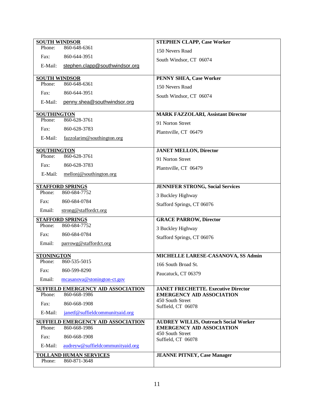| <b>SOUTH WINDSOR</b> |                                         | <b>STEPHEN CLAPP, Case Worker</b>            |
|----------------------|-----------------------------------------|----------------------------------------------|
| Phone:               | 860-648-6361                            | 150 Nevers Road                              |
| Fax:                 | 860-644-3951                            | South Windsor, CT 06074                      |
| E-Mail:              | stephen.clapp@southwindsor.org          |                                              |
|                      |                                         |                                              |
| <b>SOUTH WINDSOR</b> |                                         | <b>PENNY SHEA, Case Worker</b>               |
| Phone:               | 860-648-6361                            | 150 Nevers Road                              |
| Fax:                 | 860-644-3951                            | South Windsor, CT 06074                      |
| E-Mail:              | penny.shea@southwindsor.org             |                                              |
| <b>SOUTHINGTON</b>   |                                         | <b>MARK FAZZOLARI, Assistant Director</b>    |
| Phone:               | 860-628-3761                            | 91 Norton Street                             |
| Fax:                 | 860-628-3783                            |                                              |
| E-Mail:              | fazzolarim@southington.org              | Plantsville, CT 06479                        |
|                      |                                         |                                              |
| <b>SOUTHINGTON</b>   |                                         | <b>JANET MELLON, Director</b>                |
| Phone:               | 860-628-3761                            | 91 Norton Street                             |
| Fax:                 | 860-628-3783                            | Plantsville, CT 06479                        |
| E-Mail:              | $mellon@$ southington.org               |                                              |
|                      | <b>STAFFORD SPRINGS</b>                 | <b>JENNIFER STRONG, Social Services</b>      |
| Phone:               | 860-684-7752                            |                                              |
| Fax:                 | 860-684-0784                            | 3 Buckley Highway                            |
| Email:               | strong@staffordct.org                   | Stafford Springs, CT 06076                   |
|                      |                                         |                                              |
|                      | <b>STAFFORD SPRINGS</b><br>860-684-7752 | <b>GRACE PARROW, Director</b>                |
| Phone:               |                                         | 3 Buckley Highway                            |
| Fax:                 | 860-684-0784                            | Stafford Springs, CT 06076                   |
| Email:               | parrowg@staffordct.org                  |                                              |
| <b>STONINGTON</b>    |                                         | MICHELLE LARESE-CASANOVA, SS Admin           |
| Phone:               | 860-535-5015                            | 166 South Broad St.                          |
| Fax:                 | 860-599-8290                            | Paucatuck, CT 06379                          |
| Email:               | mcasanova@stonington-ct.gov             |                                              |
|                      | SUFFIELD EMERGENCY AID ASSOCIATION      | <b>JANET FRECHETTE. Executive Director</b>   |
| Phone:               | 860-668-1986                            | <b>EMERGENCY AID ASSOCIATION</b>             |
| Fax:                 | 860-668-1908                            | 450 South Street<br>Suffield, CT 06078       |
| E-Mail:              | janetf@suffieldcommunityaid.org         |                                              |
|                      | SUFFIELD EMERGENCY AID ASSOCIATION      | <b>AUDREY WILLIS, Outreach Social Worker</b> |
| Phone:               | 860-668-1986                            | <b>EMERGENCY AID ASSOCIATION</b>             |
| Fax:                 | 860-668-1908                            | 450 South Street<br>Suffield, CT 06078       |
| E-Mail:              | audreyw@suffieldcommunityaid.org        |                                              |
|                      | <b>TOLLAND HUMAN SERVICES</b>           | <b>JEANNE PITNEY, Case Manager</b>           |
| Phone:               | 860-871-3648                            |                                              |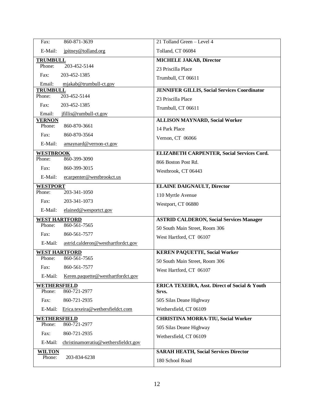| 860-871-3639<br>Fax:                            | 21 Tolland Green - Level 4                                        |
|-------------------------------------------------|-------------------------------------------------------------------|
| E-Mail:<br>jpitney@tolland.org                  | Tolland, CT 06084                                                 |
| <b>TRUMBULL</b>                                 | <b>MICHELE JAKAB, Director</b>                                    |
| Phone:<br>203-452-5144                          | 23 Priscilla Place                                                |
| Fax:<br>203-452-1385                            | Trumbull, CT 06611                                                |
| Email:<br>mjakab@trumbull-ct.gov                |                                                                   |
| <b>TRUMBULL</b><br>203-452-5144<br>Phone:       | <b>JENNIFER GILLIS, Social Services Coordinator</b>               |
| Fax:<br>203-452-1385                            | 23 Priscilla Place                                                |
| Email:<br>jfillis@rumbull-ct.gov                | Trumbull, CT 06611                                                |
| <b>VERNON</b>                                   | <b>ALLISON MAYNARD, Social Worker</b>                             |
| 860-870-3661<br>Phone:                          | 14 Park Place                                                     |
| Fax:<br>860-870-3564                            | Vernon, CT 06066                                                  |
| E-Mail:<br>amaynard@vernon-ct.gov               |                                                                   |
| <b>WESTBROOK</b>                                | ELIZABETH CARPENTER, Social Services Cord.                        |
| Phone:<br>860-399-3090                          | 866 Boston Post Rd.                                               |
| 860-399-3015<br>Fax:                            | Westbrook, CT 06443                                               |
| E-Mail:<br>ecarpenter@westbrookct.us            |                                                                   |
| <b>WESTPORT</b>                                 | <b>ELAINE DAIGNAULT, Director</b>                                 |
| Phone:<br>203-341-1050                          | 110 Myrtle Avenue                                                 |
| Fax:<br>203-341-1073                            | Westport, CT 06880                                                |
| E-Mail:<br>elained@wesportct.gov                |                                                                   |
| <b>WEST HARTFORD</b>                            | <b>ASTRID CALDERON, Social Services Manager</b>                   |
| 860-561-7565<br>Phone:                          | 50 South Main Street, Room 306                                    |
| Fax:<br>860-561-7577                            | West Hartford, CT 06107                                           |
| astrid.calderon@westhartfordct.gov<br>E-Mail:   |                                                                   |
| <b>WEST HARTFORD</b>                            | <b>KEREN PAQUETTE, Social Worker</b>                              |
| 860-561-7565<br>Phone:                          | 50 South Main Street, Room 306                                    |
| Fax:<br>860-561-7577                            | West Hartford, CT 06107                                           |
| Keren.paquette@westhartfordct.gov<br>E-Mail:    |                                                                   |
| <b>WETHERSFIELD</b><br>860-721-2977<br>Phone:   | <b>ERICA TEXEIRA, Asst. Direct of Social &amp; Youth</b><br>Srvs. |
| 860-721-2935<br>Fax:                            | 505 Silas Deane Highway                                           |
| Erica.texeira@wethersfieldct.com<br>E-Mail:     | Wethersfield, CT 06109                                            |
|                                                 |                                                                   |
| WETHERSFIELD<br>860-721-2977<br>Phone:          | <b>CHRISTINA MORRA-TIU, Social Worker</b>                         |
| 860-721-2935<br>Fax:                            | 505 Silas Deane Highway                                           |
| E-Mail:<br>christinamorratiu@wethersfieldct.gov | Wethersfield, CT 06109                                            |
|                                                 | <b>SARAH HEATH, Social Services Director</b>                      |
| <b>WILTON</b><br>Phone:<br>203-834-6238         |                                                                   |
|                                                 | 180 School Road                                                   |